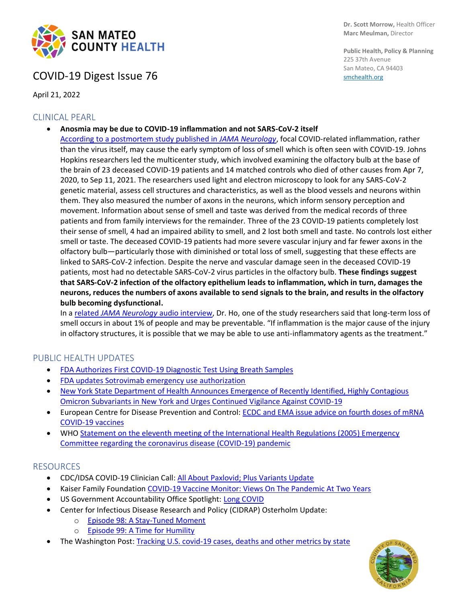

## COVID-19 Digest Issue 76

April 21, 2022

### CLINICAL PEARL

• **Anosmia may be due to COVID-19 inflammation and not SARS-CoV-2 itself**

[According to a postmortem study published in](https://jamanetwork.com/journals/jamaneurology/fullarticle/2790735) *JAMA Neurology*, focal COVID-related inflammation, rather than the virus itself, may cause the early symptom of loss of smell which is often seen with COVID-19. Johns Hopkins researchers led the multicenter study, which involved examining the olfactory bulb at the base of the brain of 23 deceased COVID-19 patients and 14 matched controls who died of other causes from Apr 7, 2020, to Sep 11, 2021. The researchers used light and electron microscopy to look for any SARS-CoV-2 genetic material, assess cell structures and characteristics, as well as the blood vessels and neurons within them. They also measured the number of axons in the neurons, which inform sensory perception and movement. Information about sense of smell and taste was derived from the medical records of three patients and from family interviews for the remainder. Three of the 23 COVID-19 patients completely lost their sense of smell, 4 had an impaired ability to smell, and 2 lost both smell and taste. No controls lost either smell or taste. The deceased COVID-19 patients had more severe vascular injury and far fewer axons in the olfactory bulb—particularly those with diminished or total loss of smell, suggesting that these effects are linked to SARS-CoV-2 infection. Despite the nerve and vascular damage seen in the deceased COVID-19 patients, most had no detectable SARS-CoV-2 virus particles in the olfactory bulb. **These findings suggest that SARS-CoV-2 infection of the olfactory epithelium leads to inflammation, which in turn, damages the neurons, reduces the numbers of axons available to send signals to the brain, and results in the olfactory bulb becoming dysfunctional.**

In a related *[JAMA Neurology](https://edhub.ama-assn.org/jn-learning/audio-player/18687674)* audio interview, Dr. Ho, one of the study researchers said that long-term loss of smell occurs in about 1% of people and may be preventable. "If inflammation is the major cause of the injury in olfactory structures, it is possible that we may be able to use anti-inflammatory agents as the treatment."

### PUBLIC HEALTH UPDATES

- [FDA Authorizes First COVID-19 Diagnostic Test Using Breath Samples](https://www.fda.gov/news-events/press-announcements/coronavirus-covid-19-update-fda-authorizes-first-covid-19-diagnostic-test-using-breath-samples)
- [FDA updates Sotrovimab emergency use authorization](https://www.fda.gov/drugs/drug-safety-and-availability/fda-updates-sotrovimab-emergency-use-authorization)
- New York State Department of Health Announces Emergence of Recently Identified, Highly Contagious [Omicron Subvariants in New York and Urges Continued Vigilance Against COVID-19](https://www.health.ny.gov/press/releases/2022/2022-04-13_covid-19.htm)
- European Centre for Disease Prevention and Control: [ECDC and EMA issue advice on fourth doses of mRNA](https://www.ecdc.europa.eu/en/news-events/ecdc-and-ema-issue-advice-fourth-doses-mrna-covid-19-vaccines)  [COVID-19 vaccines](https://www.ecdc.europa.eu/en/news-events/ecdc-and-ema-issue-advice-fourth-doses-mrna-covid-19-vaccines)
- WH[O Statement on the eleventh meeting of the International Health Regulations \(2005\) Emergency](https://www.who.int/news/item/13-04-2022-statement-on-the-eleventh-meeting-of-the-international-health-regulations-(2005)-emergency-committee-regarding-the-coronavirus-disease-(covid-19)-pandemic)  [Committee regarding the coronavirus disease \(COVID-19\) pandemic](https://www.who.int/news/item/13-04-2022-statement-on-the-eleventh-meeting-of-the-international-health-regulations-(2005)-emergency-committee-regarding-the-coronavirus-disease-(covid-19)-pandemic)

### RESOURCES

- CDC/IDSA COVID-19 Clinician Call: [All About Paxlovid; Plus Variants Update](https://www.idsociety.org/multimedia/clinician-calls/cdcidsa-covid-19-clinician-call-all-about-paxlovid-plus-variants-update/)
- Kaiser Family Foundation [COVID-19 Vaccine Monitor: Views On The Pandemic At Two Years](https://www.kff.org/coronavirus-covid-19/poll-finding/kff-covid-19-vaccine-monitor-pandemic-two-years/)
- US Government Accountability Office Spotlight: [Long COVID](https://www.gao.gov/products/gao-22-105666)
- Center for Infectious Disease Research and Policy (CIDRAP) Osterholm Update:
	- o [Episode 98: A Stay-Tuned Moment](https://www.cidrap.umn.edu/covid-19/podcasts-webinars/episode-98)
	- o [Episode 99: A Time for Humility](https://www.cidrap.umn.edu/covid-19/podcasts-webinars/episode-99)
- The Washington Post: [Tracking U.S. covid-19 cases, deaths and other metrics by state](https://www.washingtonpost.com/graphics/2020/national/coronavirus-us-cases-deaths/?itid=hp_pandemic_gfx/?state=US&indicator=reported_cases)



**Dr. Scott Morrow,** Health Officer **Marc Meulman,** Director

**Public Health, Policy & Planning** 225 37th Avenue San Mateo, CA 94403 [smchealth.org](https://www.smchealth.org/)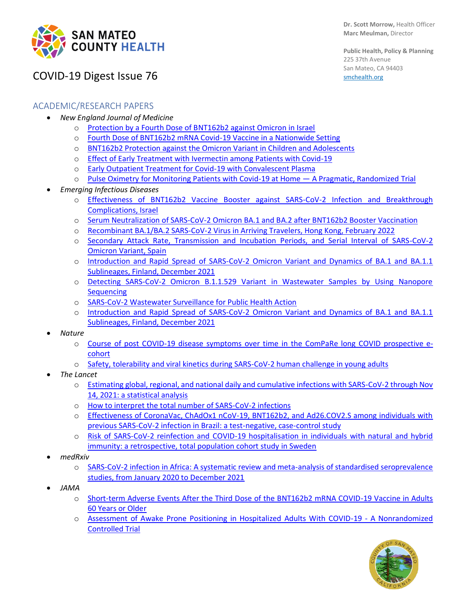

**Public Health, Policy & Planning** 225 37th Avenue San Mateo, CA 94403 [smchealth.org](https://www.smchealth.org/)

# COVID-19 Digest Issue 76

### ACADEMIC/RESEARCH PAPERS

- *New England Journal of Medicine*
	- o [Protection by a Fourth Dose of BNT162b2 against Omicron in Israel](https://www.nejm.org/doi/full/10.1056/NEJMoa2201570)
	- o [Fourth Dose of BNT162b2 mRNA Covid-19 Vaccine in a Nationwide Setting](https://www.nejm.org/doi/full/10.1056/NEJMoa2201688)
	- o [BNT162b2 Protection against the Omicron Variant in Children and Adolescents](https://www.nejm.org/doi/full/10.1056/NEJMoa2202826)
	- o Effect of Early Treatment with [Ivermectin among Patients with Covid-19](https://www.nejm.org/doi/full/10.1056/NEJMoa2115869)
	- o [Early Outpatient Treatment for Covid-19 with Convalescent Plasma](https://www.nejm.org/doi/full/10.1056/NEJMoa2119657)
	- o [Pulse Oximetry for Monitoring Patients with Covid-19 at Home](https://www.nejm.org/doi/full/10.1056/NEJMc2201541)  A Pragmatic, Randomized Trial
- *Emerging Infectious Diseases*
	- o [Effectiveness of BNT162b2 Vaccine Booster against SARS-CoV-2 Infection and Breakthrough](https://wwwnc.cdc.gov/eid/article/28/5/22-0141_article)  [Complications, Israel](https://wwwnc.cdc.gov/eid/article/28/5/22-0141_article)
	- o [Serum Neutralization of SARS-CoV-2 Omicron BA.1 and BA.2 after BNT162b2 Booster Vaccination](https://wwwnc.cdc.gov/eid/article/28/6/22-0503_article)
	- o [Recombinant BA.1/BA.2 SARS-CoV-2 Virus in Arriving Travelers, Hong Kong, February 2022](https://wwwnc.cdc.gov/eid/article/28/6/22-0523_article?ACSTrackingID=USCDC_333-DM79502&ACSTrackingLabel=Latest%20Expedited%20Articles%20-%20Emerging%20Infectious%20Diseases%20Journal%20-%20April%208%2C%202022&deliveryName=USCDC_333-DM79502)
	- Secondary Attack Rate, Transmission and Incubation Periods, and Serial Interval of SARS-CoV-2 [Omicron Variant, Spain](https://wwwnc.cdc.gov/eid/article/28/6/22-0158_article)
	- o [Introduction and Rapid Spread of SARS-CoV-2 Omicron Variant and Dynamics of BA.1 and BA.1.1](https://wwwnc.cdc.gov/eid/article/28/6/22-0515_article)  [Sublineages, Finland, December 2021](https://wwwnc.cdc.gov/eid/article/28/6/22-0515_article)
	- o [Detecting SARS-CoV-2 Omicron B.1.1.529 Variant in Wastewater Samples by Using Nanopore](https://wwwnc.cdc.gov/eid/article/28/6/22-0194_article)  **[Sequencing](https://wwwnc.cdc.gov/eid/article/28/6/22-0194_article)**
	- o [SARS-CoV-2 Wastewater Surveillance for Public Health Action](https://pubmed.ncbi.nlm.nih.gov/34424162/)
	- o [Introduction and Rapid Spread of SARS-CoV-2 Omicron Variant and Dynamics of BA.1 and BA.1.1](https://wwwnc.cdc.gov/eid/article/28/6/22-0515_article?ACSTrackingID=USCDC_333-DM79251&ACSTrackingLabel=Latest%20Expedited%20Articles%20-%20Emerging%20Infectious%20Diseases%20Journal%20-%20April%204%2C%202022&deliveryName=USCDC_333-DM79251)  [Sublineages, Finland, December 2021](https://wwwnc.cdc.gov/eid/article/28/6/22-0515_article?ACSTrackingID=USCDC_333-DM79251&ACSTrackingLabel=Latest%20Expedited%20Articles%20-%20Emerging%20Infectious%20Diseases%20Journal%20-%20April%204%2C%202022&deliveryName=USCDC_333-DM79251)
- *Nature*
	- o [Course of post COVID-19 disease symptoms over time in the ComPaRe long COVID prospective e](https://www.nature.com/articles/s41467-022-29513-z)[cohort](https://www.nature.com/articles/s41467-022-29513-z)
	- o [Safety, tolerability and viral kinetics during SARS-CoV-2 human challenge in young adults](https://www.nature.com/articles/s41591-022-01780-9)
- *The Lancet*
	- o [Estimating global, regional, and national daily and cumulative infections with SARS-CoV-2 through Nov](https://www.thelancet.com/journals/lancet/article/PIIS0140-6736(22)00484-6/fulltext)  [14, 2021: a statistical analysis](https://www.thelancet.com/journals/lancet/article/PIIS0140-6736(22)00484-6/fulltext)
	- o [How to interpret the total number of SARS-CoV-2 infections](https://www.thelancet.com/journals/lancet/article/PIIS0140-6736(22)00629-8/fulltext#%20)
	- Effectiveness of CoronaVac, ChAdOx1 nCoV-19, BNT162b2, and Ad26.COV2.S among individuals with [previous SARS-CoV-2 infection in Brazil: a test-negative, case-control study](https://www.thelancet.com/journals/laninf/article/PIIS1473-3099(22)00140-2/fulltext)
	- Risk of SARS-CoV-2 reinfection and COVID-19 hospitalisation in individuals with natural and hybrid [immunity: a retrospective, total population cohort study in Sweden](https://www.thelancet.com/journals/laninf/article/PIIS1473-3099(22)00143-8/fulltext#%20)
- *medRxiv*
	- o [SARS-CoV-2 infection in Africa: A systematic review and meta-analysis of standardised seroprevalence](https://www.medrxiv.org/content/10.1101/2022.02.14.22270934v1)  [studies, from January 2020 to December 2021](https://www.medrxiv.org/content/10.1101/2022.02.14.22270934v1)
- *JAMA*
	- o [Short-term Adverse Events After the Third Dose of the BNT162b2 mRNA COVID-19 Vaccine in Adults](https://jamanetwork.com/journals/jamanetworkopen/fullarticle/2791203)  [60 Years or Older](https://jamanetwork.com/journals/jamanetworkopen/fullarticle/2791203)
	- o [Assessment of Awake Prone Positioning in Hospitalized Adults With COVID-19 -](https://jamanetwork.com/journals/jamainternalmedicine/fullarticle/2791385) A Nonrandomized [Controlled Trial](https://jamanetwork.com/journals/jamainternalmedicine/fullarticle/2791385)

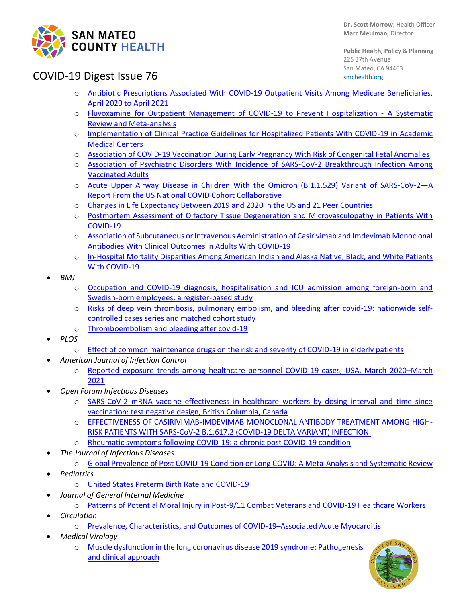

**Public Health, Policy & Planning** 225 37th Avenue San Mateo, CA 94403 [smchealth.org](https://www.smchealth.org/)

## COVID-19 Digest Issue 76

- o [Antibiotic Prescriptions Associated With COVID-19 Outpatient Visits Among Medicare Beneficiaries,](https://jamanetwork.com/journals/jama/fullarticle/2791077)  [April 2020 to April 2021](https://jamanetwork.com/journals/jama/fullarticle/2791077)
- o [Fluvoxamine for Outpatient Management of COVID-19 to Prevent Hospitalization -](https://jamanetwork.com/journals/jamanetworkopen/fullarticle/2790742) A Systematic [Review and Meta-analysis](https://jamanetwork.com/journals/jamanetworkopen/fullarticle/2790742)
- o [Implementation of Clinical Practice Guidelines for Hospitalized Patients With COVID-19 in Academic](https://jamanetwork.com/journals/jamanetworkopen/fullarticle/2790619)  [Medical Centers](https://jamanetwork.com/journals/jamanetworkopen/fullarticle/2790619)
- o [Association of COVID-19 Vaccination During Early Pregnancy With Risk of Congenital Fetal Anomalies](https://jamanetwork.com/journals/jamapediatrics/fullarticle/2790805)
- o [Association of Psychiatric Disorders With Incidence of SARS-CoV-2 Breakthrough Infection Among](https://jamanetwork.com/journals/jamanetworkopen/fullarticle/2791033)  [Vaccinated Adults](https://jamanetwork.com/journals/jamanetworkopen/fullarticle/2791033)
- o [Acute Upper Airway Disease in Children With the Omicron \(B.1.1.529\) Variant](https://jamanetwork.com/journals/jamapediatrics/fullarticle/2791278) of SARS-CoV-2—A [Report From the US National COVID Cohort Collaborative](https://jamanetwork.com/journals/jamapediatrics/fullarticle/2791278)
- o [Changes in Life Expectancy Between 2019 and 2020 in the US and 21 Peer Countries](https://jamanetwork.com/journals/jamanetworkopen/fullarticle/2791004)
- o [Postmortem Assessment of Olfactory Tissue Degeneration and Microvasculopathy in Patients With](https://jamanetwork.com/journals/jamaneurology/fullarticle/2790735)  [COVID-19](https://jamanetwork.com/journals/jamaneurology/fullarticle/2790735)
- o [Association of Subcutaneous or Intravenous Administration of Casirivimab and Imdevimab Monoclonal](https://jamanetwork.com/journals/jamanetworkopen/fullarticle/2790990)  [Antibodies With Clinical Outcomes in Adults With COVID-19](https://jamanetwork.com/journals/jamanetworkopen/fullarticle/2790990)
- o [In-Hospital Mortality Disparities Among American Indian and Alaska Native, Black, and White Patients](https://jamanetwork.com/journals/jamanetworkopen/fullarticle/2790506)  [With COVID-19](https://jamanetwork.com/journals/jamanetworkopen/fullarticle/2790506)
- *BMJ*
	- o [Occupation and COVID-19 diagnosis, hospitalisation and ICU admission among foreign-born and](https://jech.bmj.com/content/76/5/440)  [Swedish-born employees: a register-based study](https://jech.bmj.com/content/76/5/440)
	- o [Risks of deep vein thrombosis, pulmonary embolism, and bleeding after covid-19: nationwide self](https://www.bmj.com/content/377/bmj-2021-069590)[controlled cases series and matched cohort study](https://www.bmj.com/content/377/bmj-2021-069590)
	- o [Thromboembolism and bleeding after covid-19](https://www.bmj.com/content/377/bmj.o817)
- *PLOS*
	- o [Effect of common maintenance drugs on the risk and severity of COVID-19 in elderly patients](https://journals.plos.org/plosone/article?id=10.1371/journal.pone.0266922)
	- *American Journal of Infection Control* 
		- o [Reported exposure trends among healthcare personnel COVID-19 cases, USA, March 2020](https://www.ajicjournal.org/article/S0196-6553(22)00043-8/fulltext)–March [2021](https://www.ajicjournal.org/article/S0196-6553(22)00043-8/fulltext)
- *Open Forum Infectious Diseases*
	- o [SARS-CoV-2 mRNA vaccine effectiveness in healthcare workers by dosing interval and time since](https://academic.oup.com/ofid/advance-article/doi/10.1093/ofid/ofac178/6569147)  [vaccination: test negative design, British Columbia, Canada](https://academic.oup.com/ofid/advance-article/doi/10.1093/ofid/ofac178/6569147)
	- o [EFFECTIVENESS OF CASIRIVIMAB-IMDEVIMAB MONOCLONAL ANTIBODY TREATMENT AMONG HIGH-](https://academic.oup.com/ofid/advance-article/doi/10.1093/ofid/ofac186/6567515?login=false)[RISK PATIENTS WITH SARS-CoV-2 B.1.617.2 \(COVID-19 DELTA VARIANT\) INFECTION](https://academic.oup.com/ofid/advance-article/doi/10.1093/ofid/ofac186/6567515?login=false)
	- o [Rheumatic symptoms following COVID-19: a chronic post COVID-19 condition](https://academic.oup.com/ofid/advance-article/doi/10.1093/ofid/ofac170/6563359?login=true)
- *The Journal of Infectious Diseases*
	- o [Global Prevalence of Post COVID-19 Condition or Long COVID: A Meta-Analysis and Systematic Review](https://academic.oup.com/jid/advance-article/doi/10.1093/infdis/jiac136/6569364?login=true)
- *Pediatrics*
	- o [United States Preterm Birth Rate and COVID-19](https://publications.aap.org/pediatrics/article/doi/10.1542/peds.2021-055495/186706/United-States-Preterm-Birth-Rate-and-COVID-19)
- *Journal of General Internal Medicine*
	- o [Patterns of Potential Moral Injury in Post-9/11 Combat Veterans and COVID-19 Healthcare Workers](https://link.springer.com/article/10.1007/s11606-022-07487-4)
- *Circulation*
	- o [Prevalence, Characteristics, and Outcomes of COVID-19](https://www.ahajournals.org/doi/full/10.1161/CIRCULATIONAHA.121.056817)–Associated Acute Myocarditis
- *Medical Virology*
	- o [Muscle dysfunction in the long coronavirus disease 2019 syndrome: Pathogenesis](https://onlinelibrary.wiley.com/doi/10.1002/rmv.2355)  [and clinical approach](https://onlinelibrary.wiley.com/doi/10.1002/rmv.2355)

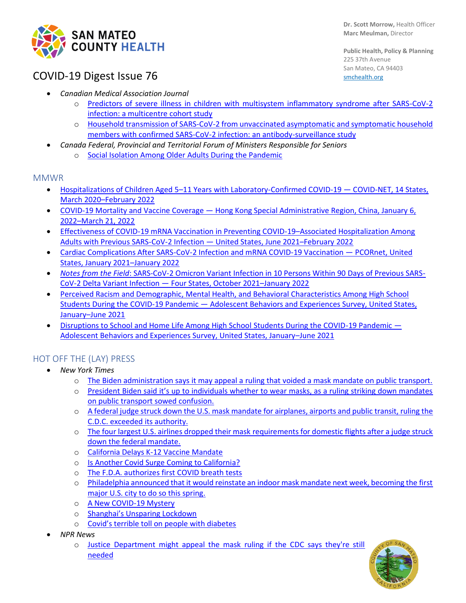

**Dr. Scott Morrow,** Health Officer **Marc Meulman,** Director

**Public Health, Policy & Planning** 225 37th Avenue San Mateo, CA 94403 [smchealth.org](https://www.smchealth.org/)

# COVID-19 Digest Issue 76

- *Canadian Medical Association Journal*
	- o [Predictors of severe illness in children with multisystem inflammatory syndrome after SARS-CoV-2](https://www.cmaj.ca/content/194/14/E513)  [infection: a multicentre cohort study](https://www.cmaj.ca/content/194/14/E513)
	- o [Household transmission of SARS-CoV-2 from unvaccinated asymptomatic and symptomatic household](https://www.cmajopen.ca/content/10/2/E357)  [members with confirmed SARS-CoV-2 infection: an antibody-surveillance study](https://www.cmajopen.ca/content/10/2/E357)
- *Canada Federal, Provincial and Territorial Forum of Ministers Responsible for Seniors* 
	- o [Social Isolation Among Older Adults During the Pandemic](https://www.canada.ca/content/dam/canada/employment-social-development/corporate/seniors/forum/covid-19-social-isolation/covid-19-social-isolation-en.pdf)

### **MMWR**

- Hospitalizations of Children Aged 5–[11 Years with Laboratory-Confirmed COVID-19](https://protect-us.mimecast.com/s/zDPPC9rAD6h1GRloTOlHt0)  COVID-NET, 14 States, March 2020–[February 2022](https://protect-us.mimecast.com/s/zDPPC9rAD6h1GRloTOlHt0)
- COVID-19 Mortality and Vaccine Coverage [Hong Kong Special Administrative Region, China, January 6,](https://protect-us.mimecast.com/s/F2R4C2kq74Fj4XVoF2Vwpg)  2022–[March 21, 2022](https://protect-us.mimecast.com/s/F2R4C2kq74Fj4XVoF2Vwpg)
- [Effectiveness of COVID-19 mRNA Vaccination in Preventing COVID-19](https://protect-us.mimecast.com/s/lWvzC73yp8cqgDLACN4abY)–Associated Hospitalization Among [Adults with Previous SARS-CoV-2 Infection](https://protect-us.mimecast.com/s/lWvzC73yp8cqgDLACN4abY) — United States, June 2021–February 2022
- [Cardiac Complications After SARS-CoV-2 Infection and mRNA COVID-19 Vaccination](https://protect-us.mimecast.com/s/i6R1CR6KPYcVpNYytQ2rLD)  PCORnet, United [States, January 2021](https://protect-us.mimecast.com/s/i6R1CR6KPYcVpNYytQ2rLD)–January 2022
- *Notes from the Field*[: SARS-CoV-2 Omicron Variant Infection in 10 Persons Within 90 Days of Previous SARS-](https://protect-us.mimecast.com/s/DxxVCVO27pfvEMBzFEyeSJ)[CoV-2 Delta Variant Infection](https://protect-us.mimecast.com/s/DxxVCVO27pfvEMBzFEyeSJ) — Four States, October 2021–January 2022
- [Perceived Racism and Demographic, Mental Health, and Behavioral Characteristics Among High School](https://protect-us.mimecast.com/s/6dUaCOYXPlTGn744twrAM7)  Students During the COVID-19 Pandemic — [Adolescent Behaviors and Experiences Survey, United States,](https://protect-us.mimecast.com/s/6dUaCOYXPlTGn744twrAM7)  January–[June 2021](https://protect-us.mimecast.com/s/6dUaCOYXPlTGn744twrAM7)
- [Disruptions to School and Home Life Among High School Students During the COVID-19 Pandemic](https://protect-us.mimecast.com/s/MAfNCPNKzmulWjMMHQAGgk)  [Adolescent Behaviors and Experiences Survey, United States, January](https://protect-us.mimecast.com/s/MAfNCPNKzmulWjMMHQAGgk)–June 2021

## HOT OFF THE (LAY) PRESS

- *New York Times*
	- o The Biden administration says [it may appeal a ruling that voided a](https://protect-us.mimecast.com/s/c4jACpYokwTDYDEkIYUH-K) mask mandate on public transport.
	- o [President Biden said it's up to individuals whether to wear masks, as a ruling striking down mandates](https://protect-us.mimecast.com/s/HgPJC1wpG1cRVwDwHp8ezo)  [on public transport sowed confusion.](https://protect-us.mimecast.com/s/HgPJC1wpG1cRVwDwHp8ezo)
	- o [A federal judge struck down the U.S. mask mandate for airplanes, airports and public transit, ruling the](https://protect-us.mimecast.com/s/1DtxCOYXPlTGVRq1tkAeeC)  [C.D.C. exceeded its authority.](https://protect-us.mimecast.com/s/1DtxCOYXPlTGVRq1tkAeeC)
	- o [The four largest U.S. airlines dropped their mask requirements for domestic flights after a judge struck](https://protect-us.mimecast.com/s/fzrjCQWK6JsxGnKBuMZMJd)  [down the federal mandate.](https://protect-us.mimecast.com/s/fzrjCQWK6JsxGnKBuMZMJd)
	- o [California Delays K-12 Vaccine Mandate](https://www.nytimes.com/2022/04/18/us/california-covid-vaccine.html)
	- o [Is Another Covid Surge Coming to California?](https://www.nytimes.com/2022/04/12/us/covid-surge-california.html)
	- o [The F.D.A. authorizes first COVID breath tests](https://www.nytimes.com/live/2022/04/15/world/covid-19-mandates-cases-vaccine/the-fda-authorizes-the-first-covid-19-breath-test)
	- o [Philadelphia announced that it would reinstate an indoor mask mandate next week, becoming the first](https://protect-us.mimecast.com/s/s8mHC31ryRcBkxKxU2dS_r)  [major U.S. city to do so this spring.](https://protect-us.mimecast.com/s/s8mHC31ryRcBkxKxU2dS_r)
	- o [A New COVID-19 Mystery](https://www.yahoo.com/news/covid-19-mystery-185725669.html)
	- o [Shanghai's Unsparing Lockdown](https://www.nytimes.com/2022/04/06/briefing/shanghais-unsparing-lockdown.html)
	- o [Covid's terrible toll on people with diabetes](https://www.nytimes.com/2022/04/04/briefing/covids-toll-on-diabetic-americans.html)
- *NPR News*
	- o [Justice Department might appeal the mask ruling if the CDC says they're still](https://www.npr.org/2022/04/18/1093364146/a-florida-judge-overturns-the-cdcs-mask-mandate-for-planes-and-other-public-tran)  [needed](https://www.npr.org/2022/04/18/1093364146/a-florida-judge-overturns-the-cdcs-mask-mandate-for-planes-and-other-public-tran)

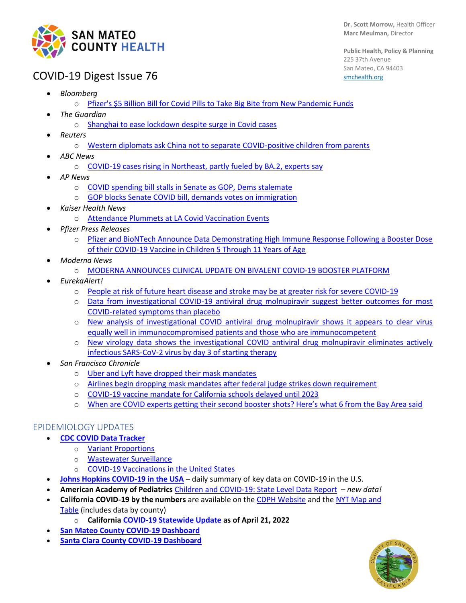

**Public Health, Policy & Planning** 225 37th Avenue San Mateo, CA 94403 [smchealth.org](https://www.smchealth.org/)

## COVID-19 Digest Issue 76

- *Bloomberg*
	- o Pfizer's \$5 Billion Bill for Covid Pills [to Take Big Bite from New Pandemic Funds](https://www.bloomberg.com/news/articles/2022-04-05/pfizer-s-5-billion-bill-for-u-s-takes-big-bite-from-covid-aid)
- *The Guardian*
	- o [Shanghai to ease lockdown despite surge in Covid cases](https://www.theguardian.com/world/2022/apr/11/shanghai-to-ease-lockdown-despite-surge-in-covid-cases)
- *Reuters*
	- o [Western diplomats ask China not to separate COVID-positive children from parents](https://www.reuters.com/world/china/western-diplomats-ask-china-not-separate-covid-positive-children-parents-2022-04-04/)
- *ABC News*
	- o [COVID-19 cases rising in Northeast, partly fueled by BA.2, experts say](https://abcnews.go.com/Health/covid-19-cases-rising-northeast-partly-fueled-ba2/story?id=84011868)
- *AP News*
	- o [COVID spending bill stalls in Senate as GOP, Dems stalemate](https://apnews.com/article/immigration-ketanji-brown-jackson-biden-covid-health-1f6cd2e49607be0c6b9286bb038d1aef)
	- o [GOP blocks Senate COVID bill, demands votes on immigration](https://apnews.com/article/biden-covid-health-business-congress-74b1a0a6e15e015645935909d8c55b5e)
- *Kaiser Health News*
	- o [Attendance Plummets at LA Covid Vaccination Events](https://khn.org/news/article/covid-vaccine-los-angeles-interest-drops/)
- *Pfizer Press Releases*
	- o [Pfizer and BioNTech Announce Data Demonstrating High Immune Response Following a Booster Dose](https://www.pfizer.com/news/press-release/press-release-detail/pfizer-and-biontech-announce-data-demonstrating-high-immune)  of their COVID-19 Vaccine [in Children 5 Through 11 Years of Age](https://www.pfizer.com/news/press-release/press-release-detail/pfizer-and-biontech-announce-data-demonstrating-high-immune)
- *Moderna News*
	- o [MODERNA ANNOUNCES CLINICAL UPDATE ON BIVALENT COVID-19 BOOSTER PLATFORM](https://investors.modernatx.com/news/news-details/2022/Moderna-Announces-Clinical-Update-on-Bivalent-COVID-19-Booster-Platform/default.aspx)
- *EurekaAlert!*
	- o [People at risk of future heart disease and stroke may be at greater risk for severe COVID-19](https://www.eurekalert.org/news-releases/949535)
	- o [Data from investigational COVID-19 antiviral drug molnupiravir suggest better outcomes for most](https://www.eurekalert.org/news-releases/948344)  [COVID-related symptoms than placebo](https://www.eurekalert.org/news-releases/948344)
	- o [New analysis of investigational COVID antiviral drug molnupiravir shows it appears to clear virus](https://www.eurekalert.org/news-releases/948303)  [equally well in immunocompromised patients and those who are immunocompetent](https://www.eurekalert.org/news-releases/948303)
	- o [New virology data shows the investigational COVID antiviral drug molnupiravir eliminates actively](https://www.eurekalert.org/news-releases/948301)  [infectious SARS-CoV-2 virus by day 3 of starting therapy](https://www.eurekalert.org/news-releases/948301)
- *San Francisco Chronicle*
	- o [Uber and Lyft have dropped their mask mandates](https://www.sfchronicle.com/bayarea/article/Uber-drops-mask-mandate-17090505.php)
	- o [Airlines begin dropping mask mandates after federal judge strikes down requirement](https://www.sfchronicle.com/bayarea/article/Federal-judge-strikes-down-mask-mandate-for-17089330.php)
	- o [COVID-19 vaccine mandate for California schools delayed until 2023](https://www.sfchronicle.com/bayarea/article/COVID-19-vaccine-mandate-for-California-schools-17082402.php)
	- o [When are COVID experts getting their second booster shots? Here's what 6 from the Bay Area said](https://www.sfchronicle.com/health/article/second-COVID-booster-shot-17084513.php)

### EPIDEMIOLOGY UPDATES

- **[CDC COVID Data Tracker](https://covid.cdc.gov/covid-data-tracker/#datatracker-home)**
	- o [Variant Proportions](https://covid.cdc.gov/covid-data-tracker/#variant-proportions)
	- o [Wastewater Surveillance](https://covid.cdc.gov/covid-data-tracker/#wastewater-surveillance)
	- o [COVID-19 Vaccinations in the United States](https://covid.cdc.gov/covid-data-tracker/#vaccinations_vacc-total-admin-rate-total)
- **[Johns Hopkins COVID-19 in the USA](https://coronavirus.jhu.edu/)** daily summary of key data on COVID-19 in the U.S.
- **American Academy of Pediatrics** [Children and COVID-19: State Level Data Report](https://www.aap.org/en/pages/2019-novel-coronavirus-covid-19-infections/children-and-covid-19-state-level-data-report/) *– new data!*
- **California COVID-19 by the numbers** are available on the [CDPH Website](https://www.cdph.ca.gov/Programs/CID/DCDC/Pages/Immunization/ncov2019.aspx#COVID-19%20by%20the%20Numbers) and the [NYT Map and](https://www.nytimes.com/interactive/2020/us/california-coronavirus-cases.html)  [Table](https://www.nytimes.com/interactive/2020/us/california-coronavirus-cases.html) (includes data by county)
	- o **Californi[a COVID-19 Statewide Update](https://update.covid19.ca.gov/) as of April 21, 2022**
- **[San Mateo County COVID-19 Dashboard](https://www.smchealth.org/post/san-mateo-county-covid-19-data-1)**
- **[Santa Clara County COVID-19 Dashboard](https://www.sccgov.org/sites/covid19/Pages/dashboard.aspx)**